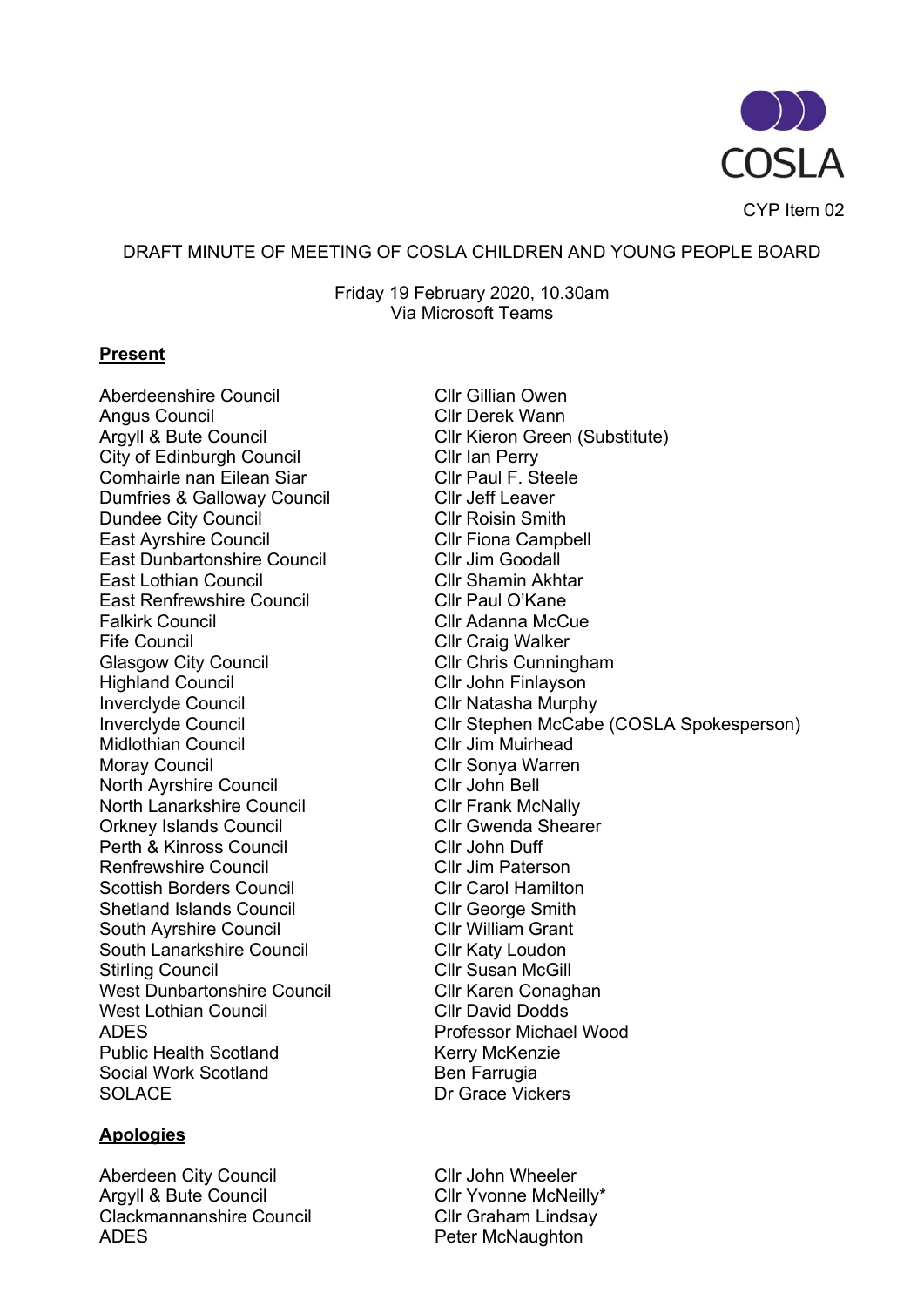

CYP Item 02

#### DRAFT MINUTE OF MEETING OF COSLA CHILDREN AND YOUNG PEOPLE BOARD

Friday 19 February 2020, 10.30am Via Microsoft Teams

#### **Present**

Aberdeenshire Council **Click Clubs** Cllr Gillian Owen Angus Council and Cllr Derek Wann<br>Argyll & Bute Council and Cllr Kieron Greer City of Edinburgh Council City of Edinburgh Council Comhairle nan Eilean Siar **Clicks** Cllr Paul F. Steele Dumfries & Galloway Council Cllr Jeff Leaver Dundee City Council Cllr Roisin Smith East Ayrshire Council **Click Clu** Cllr Fiona Campbell East Dunbartonshire Council **Cllr Jim Goodall** East Lothian Council **Club Clu** Cllr Shamin Akhtar East Renfrewshire Council Faul O'Kane<br>Falkirk Council Cllr Adanna McC Fife Council Cllr Craig Walker<br>
Glasgow City Council Cllr Chris Cunningham Glasgow City Council<br>Highland Council Inverclyde Council **Inverclyde Council**<br>
Inverclyde Council **Clument Council**<br>
Cllr Stephen McCabe Midlothian Council **Click Client Clip Clife Jim Muirhead** Moray Council Cllr Sonya Warren North Ayrshire Council Cllr John Bell North Lanarkshire Council Cllr Frank McNally Orkney Islands Council Cllr Gwenda Shearer Perth & Kinross Council Cllr John Duff Renfrewshire Council **Clients** Cllr Jim Paterson Scottish Borders Council<br>
Shetland Islands Council<br>
Cllr George Smith Shetland Islands Council South Ayrshire Council **Click Clubs** Cllr William Grant South Lanarkshire Council **Click Clubs** Cllr Katy Loudon Stirling Council **Click Clubs** Cllr Susan McGill West Dunbartonshire Council **Click Clumbartonshire Council**<br>West Lothian Council **Clumbar Clumbar Clumbar Clumbar** West Lothian Council ADES Professor Michael Wood Public Health Scotland Kerry McKenzie Social Work Scotland Ben Farrugia SOLACE Dr Grace Vickers

### **Apologies**

Aberdeen City Council **Aberdeen City Council**<br>Argyll & Bute Council **Cllr Yvonne McNe** Clackmannanshire Council Cllr Graham Lindsay ADES **Peter McNaughton** 

Cllr Kieron Green (Substitute) Cllr Adanna McCue Cllr John Finlayson Cllr Stephen McCabe (COSLA Spokesperson)

Cllr Yvonne McNeilly\*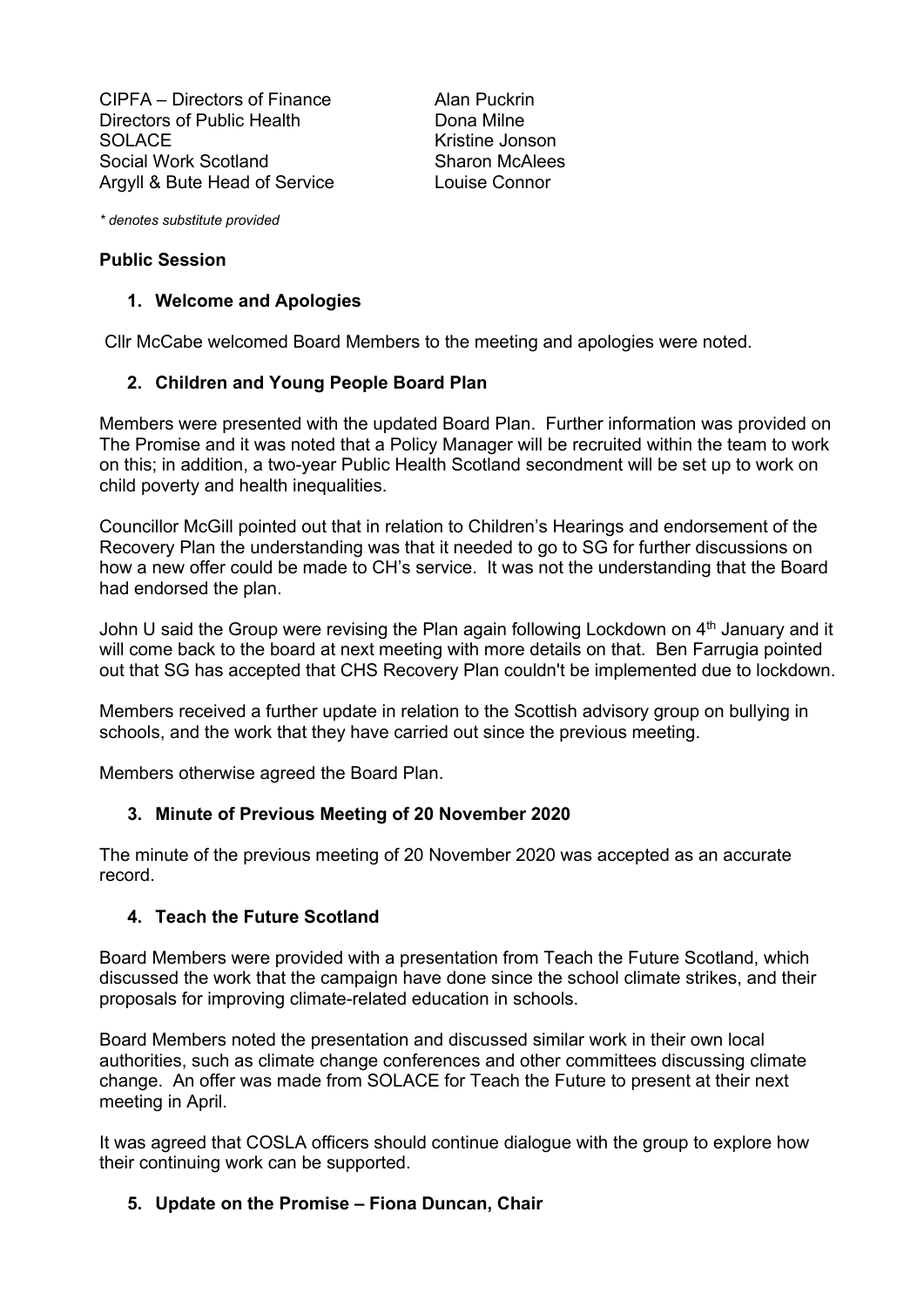CIPFA – Directors of Finance Alan Puckrin Directors of Public Health Dona Milne SOLACE<br>
Social Work Scotland<br>
Sharon McAlees Social Work Scotland Argyll & Bute Head of Service Louise Connor

*\* denotes substitute provided*

#### **Public Session**

#### **1. Welcome and Apologies**

Cllr McCabe welcomed Board Members to the meeting and apologies were noted.

#### **2. Children and Young People Board Plan**

Members were presented with the updated Board Plan. Further information was provided on The Promise and it was noted that a Policy Manager will be recruited within the team to work on this; in addition, a two-year Public Health Scotland secondment will be set up to work on child poverty and health inequalities.

Councillor McGill pointed out that in relation to Children's Hearings and endorsement of the Recovery Plan the understanding was that it needed to go to SG for further discussions on how a new offer could be made to CH's service. It was not the understanding that the Board had endorsed the plan.

John U said the Group were revising the Plan again following Lockdown on  $4<sup>th</sup>$  January and it will come back to the board at next meeting with more details on that. Ben Farrugia pointed out that SG has accepted that CHS Recovery Plan couldn't be implemented due to lockdown.

Members received a further update in relation to the Scottish advisory group on bullying in schools, and the work that they have carried out since the previous meeting.

Members otherwise agreed the Board Plan.

#### **3. Minute of Previous Meeting of 20 November 2020**

The minute of the previous meeting of 20 November 2020 was accepted as an accurate record.

#### **4. Teach the Future Scotland**

Board Members were provided with a presentation from Teach the Future Scotland, which discussed the work that the campaign have done since the school climate strikes, and their proposals for improving climate-related education in schools.

Board Members noted the presentation and discussed similar work in their own local authorities, such as climate change conferences and other committees discussing climate change. An offer was made from SOLACE for Teach the Future to present at their next meeting in April.

It was agreed that COSLA officers should continue dialogue with the group to explore how their continuing work can be supported.

### **5. Update on the Promise – Fiona Duncan, Chair**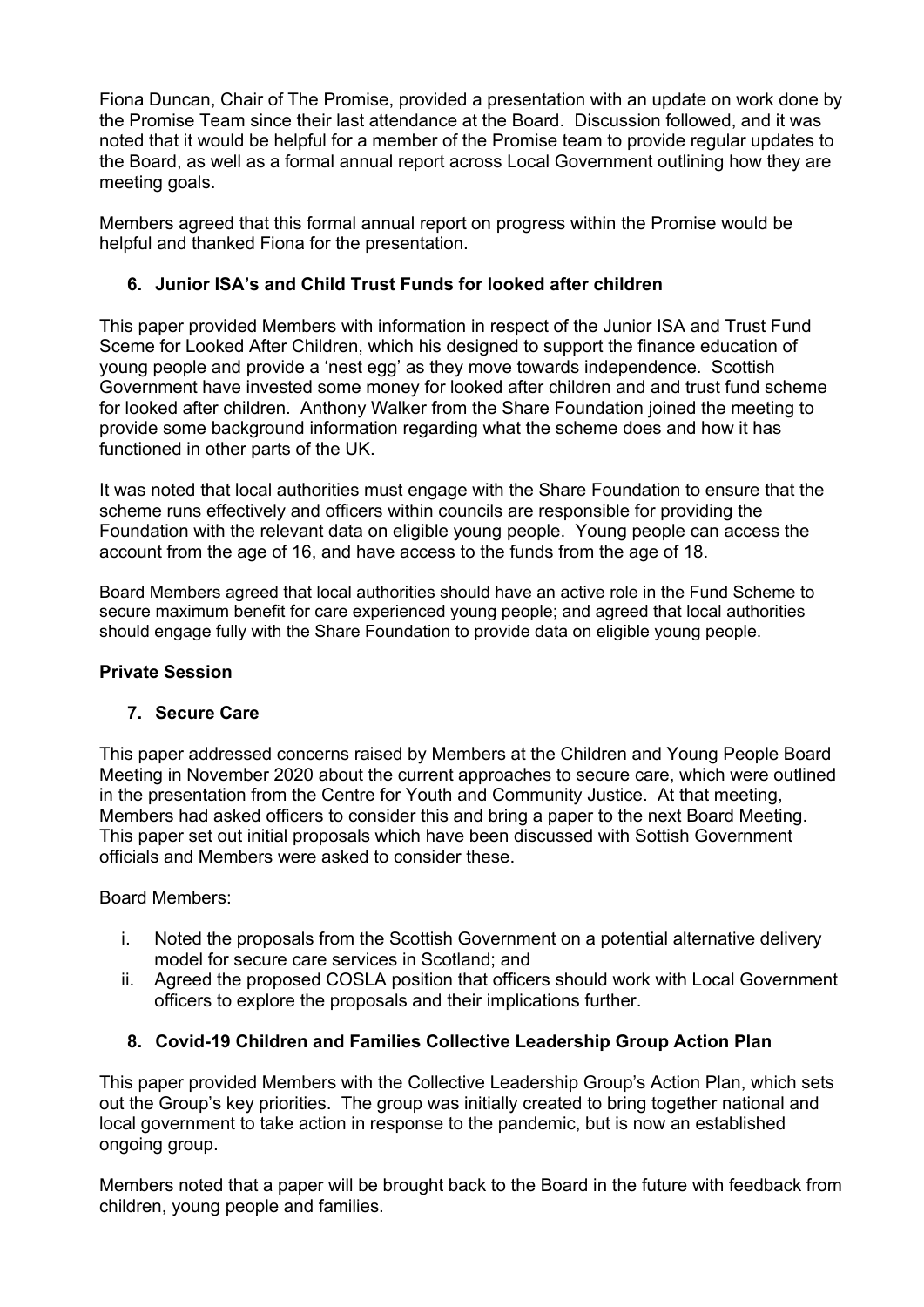Fiona Duncan, Chair of The Promise, provided a presentation with an update on work done by the Promise Team since their last attendance at the Board. Discussion followed, and it was noted that it would be helpful for a member of the Promise team to provide regular updates to the Board, as well as a formal annual report across Local Government outlining how they are meeting goals.

Members agreed that this formal annual report on progress within the Promise would be helpful and thanked Fiona for the presentation.

# **6. Junior ISA's and Child Trust Funds for looked after children**

This paper provided Members with information in respect of the Junior ISA and Trust Fund Sceme for Looked After Children, which his designed to support the finance education of young people and provide a 'nest egg' as they move towards independence. Scottish Government have invested some money for looked after children and and trust fund scheme for looked after children. Anthony Walker from the Share Foundation joined the meeting to provide some background information regarding what the scheme does and how it has functioned in other parts of the UK.

It was noted that local authorities must engage with the Share Foundation to ensure that the scheme runs effectively and officers within councils are responsible for providing the Foundation with the relevant data on eligible young people. Young people can access the account from the age of 16, and have access to the funds from the age of 18.

Board Members agreed that local authorities should have an active role in the Fund Scheme to secure maximum benefit for care experienced young people; and agreed that local authorities should engage fully with the Share Foundation to provide data on eligible young people.

### **Private Session**

### **7. Secure Care**

This paper addressed concerns raised by Members at the Children and Young People Board Meeting in November 2020 about the current approaches to secure care, which were outlined in the presentation from the Centre for Youth and Community Justice. At that meeting, Members had asked officers to consider this and bring a paper to the next Board Meeting. This paper set out initial proposals which have been discussed with Sottish Government officials and Members were asked to consider these.

Board Members:

- i. Noted the proposals from the Scottish Government on a potential alternative delivery model for secure care services in Scotland; and
- ii. Agreed the proposed COSLA position that officers should work with Local Government officers to explore the proposals and their implications further.

### **8. Covid-19 Children and Families Collective Leadership Group Action Plan**

This paper provided Members with the Collective Leadership Group's Action Plan, which sets out the Group's key priorities. The group was initially created to bring together national and local government to take action in response to the pandemic, but is now an established ongoing group.

Members noted that a paper will be brought back to the Board in the future with feedback from children, young people and families.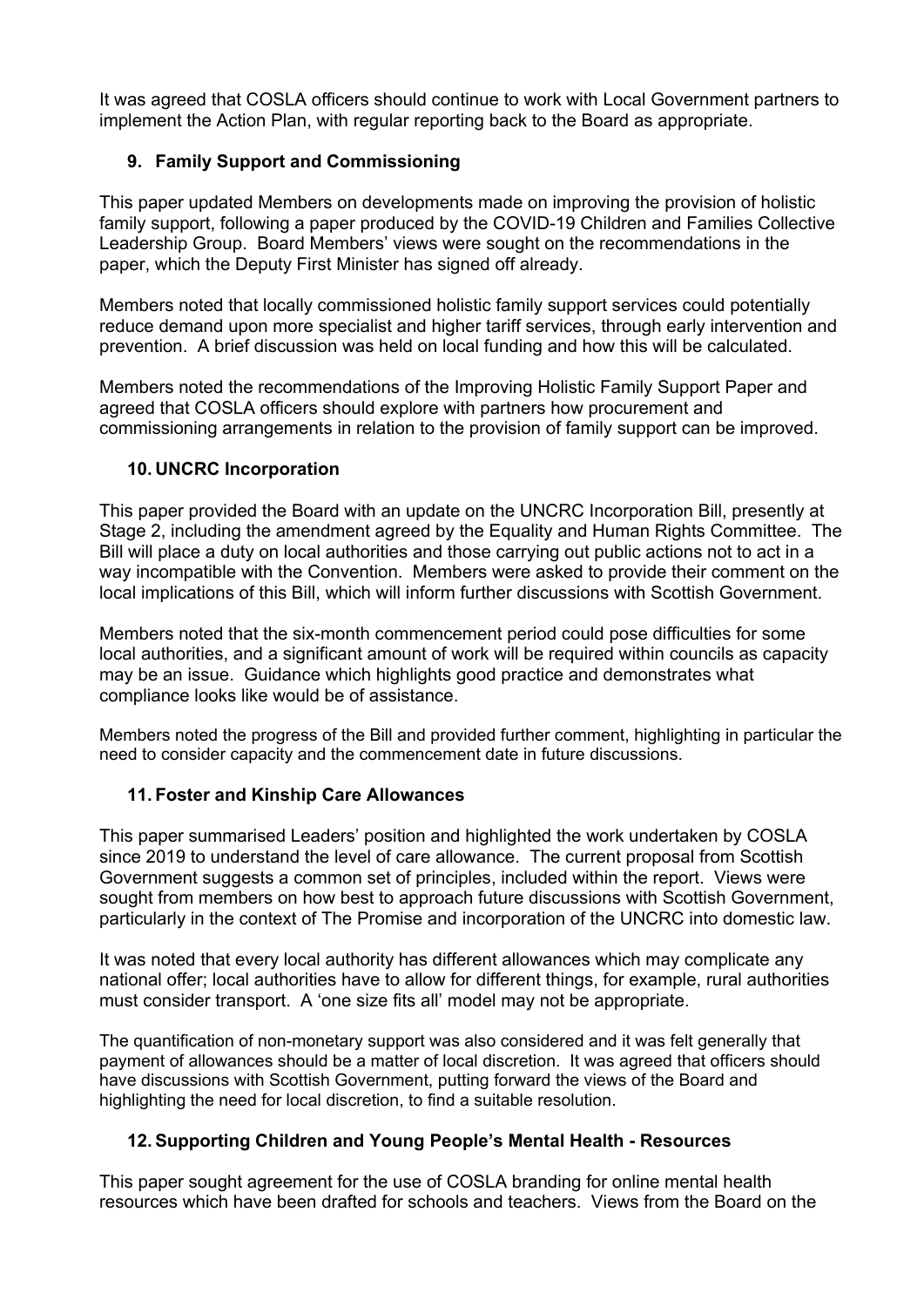It was agreed that COSLA officers should continue to work with Local Government partners to implement the Action Plan, with regular reporting back to the Board as appropriate.

# **9. Family Support and Commissioning**

This paper updated Members on developments made on improving the provision of holistic family support, following a paper produced by the COVID-19 Children and Families Collective Leadership Group. Board Members' views were sought on the recommendations in the paper, which the Deputy First Minister has signed off already.

Members noted that locally commissioned holistic family support services could potentially reduce demand upon more specialist and higher tariff services, through early intervention and prevention. A brief discussion was held on local funding and how this will be calculated.

Members noted the recommendations of the Improving Holistic Family Support Paper and agreed that COSLA officers should explore with partners how procurement and commissioning arrangements in relation to the provision of family support can be improved.

## **10. UNCRC Incorporation**

This paper provided the Board with an update on the UNCRC Incorporation Bill, presently at Stage 2, including the amendment agreed by the Equality and Human Rights Committee. The Bill will place a duty on local authorities and those carrying out public actions not to act in a way incompatible with the Convention. Members were asked to provide their comment on the local implications of this Bill, which will inform further discussions with Scottish Government.

Members noted that the six-month commencement period could pose difficulties for some local authorities, and a significant amount of work will be required within councils as capacity may be an issue. Guidance which highlights good practice and demonstrates what compliance looks like would be of assistance.

Members noted the progress of the Bill and provided further comment, highlighting in particular the need to consider capacity and the commencement date in future discussions.

### **11. Foster and Kinship Care Allowances**

This paper summarised Leaders' position and highlighted the work undertaken by COSLA since 2019 to understand the level of care allowance. The current proposal from Scottish Government suggests a common set of principles, included within the report. Views were sought from members on how best to approach future discussions with Scottish Government, particularly in the context of The Promise and incorporation of the UNCRC into domestic law.

It was noted that every local authority has different allowances which may complicate any national offer; local authorities have to allow for different things, for example, rural authorities must consider transport. A 'one size fits all' model may not be appropriate.

The quantification of non-monetary support was also considered and it was felt generally that payment of allowances should be a matter of local discretion. It was agreed that officers should have discussions with Scottish Government, putting forward the views of the Board and highlighting the need for local discretion, to find a suitable resolution.

# **12. Supporting Children and Young People's Mental Health - Resources**

This paper sought agreement for the use of COSLA branding for online mental health resources which have been drafted for schools and teachers. Views from the Board on the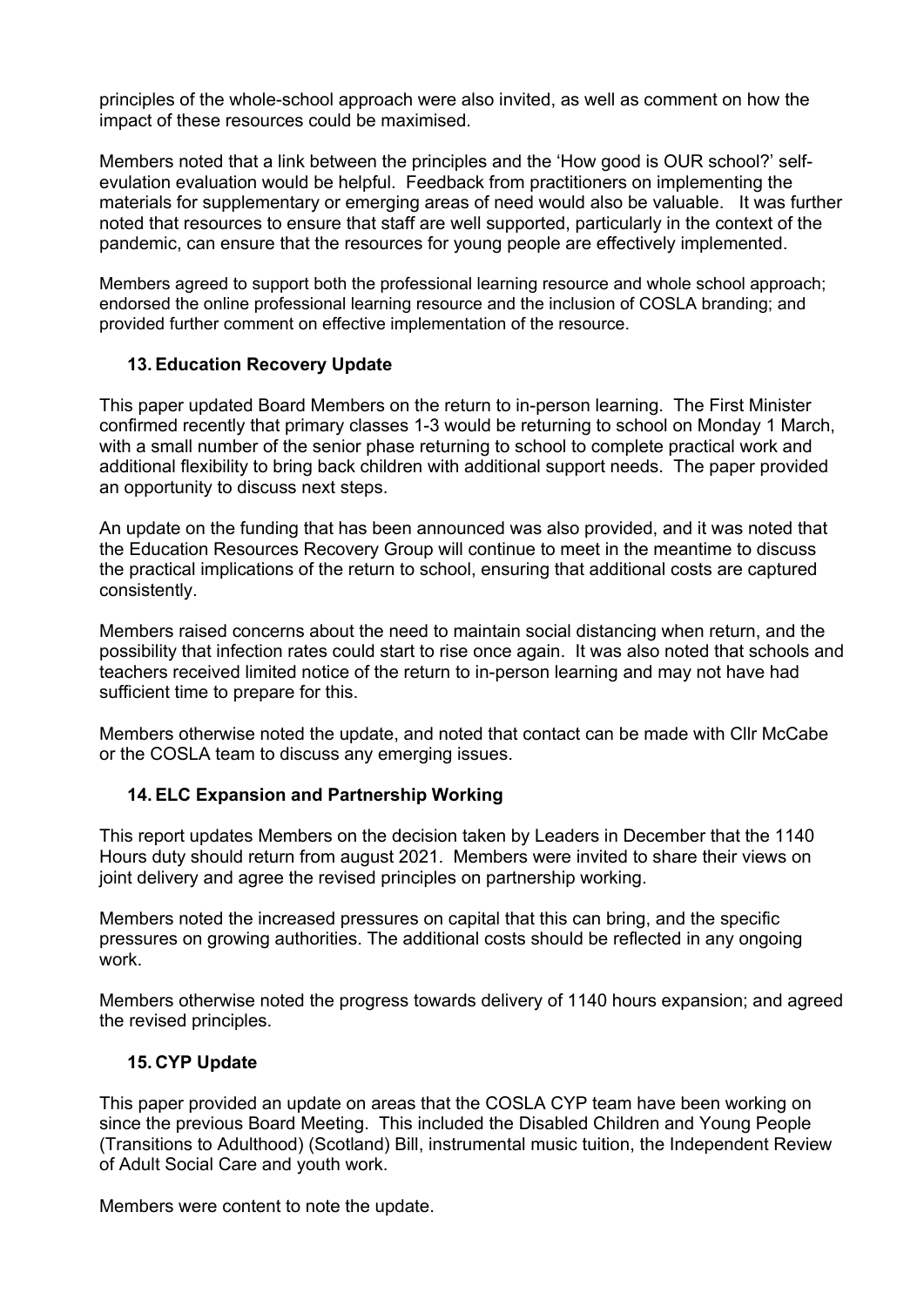principles of the whole-school approach were also invited, as well as comment on how the impact of these resources could be maximised.

Members noted that a link between the principles and the 'How good is OUR school?' selfevulation evaluation would be helpful. Feedback from practitioners on implementing the materials for supplementary or emerging areas of need would also be valuable. It was further noted that resources to ensure that staff are well supported, particularly in the context of the pandemic, can ensure that the resources for young people are effectively implemented.

Members agreed to support both the professional learning resource and whole school approach; endorsed the online professional learning resource and the inclusion of COSLA branding; and provided further comment on effective implementation of the resource.

### **13. Education Recovery Update**

This paper updated Board Members on the return to in-person learning. The First Minister confirmed recently that primary classes 1-3 would be returning to school on Monday 1 March, with a small number of the senior phase returning to school to complete practical work and additional flexibility to bring back children with additional support needs. The paper provided an opportunity to discuss next steps.

An update on the funding that has been announced was also provided, and it was noted that the Education Resources Recovery Group will continue to meet in the meantime to discuss the practical implications of the return to school, ensuring that additional costs are captured consistently.

Members raised concerns about the need to maintain social distancing when return, and the possibility that infection rates could start to rise once again. It was also noted that schools and teachers received limited notice of the return to in-person learning and may not have had sufficient time to prepare for this.

Members otherwise noted the update, and noted that contact can be made with Cllr McCabe or the COSLA team to discuss any emerging issues.

### **14. ELC Expansion and Partnership Working**

This report updates Members on the decision taken by Leaders in December that the 1140 Hours duty should return from august 2021. Members were invited to share their views on joint delivery and agree the revised principles on partnership working.

Members noted the increased pressures on capital that this can bring, and the specific pressures on growing authorities. The additional costs should be reflected in any ongoing work.

Members otherwise noted the progress towards delivery of 1140 hours expansion; and agreed the revised principles.

### **15. CYP Update**

This paper provided an update on areas that the COSLA CYP team have been working on since the previous Board Meeting. This included the Disabled Children and Young People (Transitions to Adulthood) (Scotland) Bill, instrumental music tuition, the Independent Review of Adult Social Care and youth work.

Members were content to note the update.